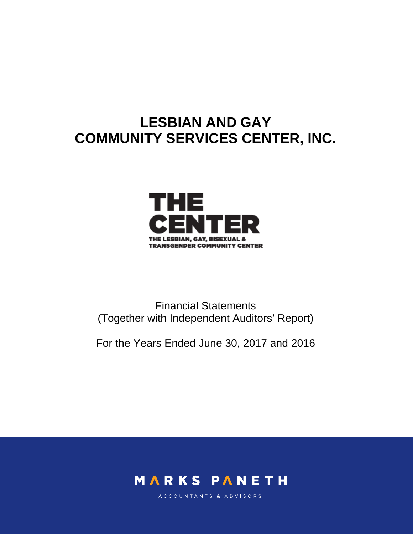# **LESBIAN AND GAY COMMUNITY SERVICES CENTER, INC.**



Financial Statements (Together with Independent Auditors' Report)

For the Years Ended June 30, 2017 and 2016



ACCOUNTANTS & ADVISORS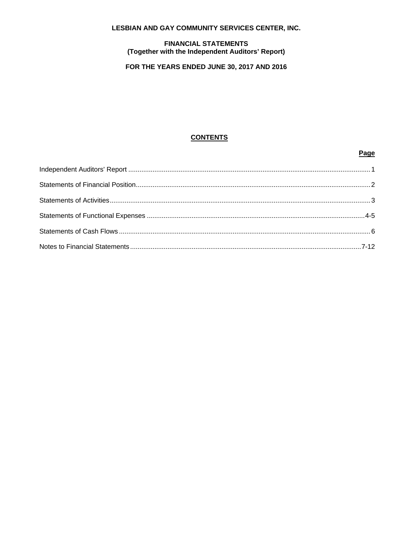# LESBIAN AND GAY COMMUNITY SERVICES CENTER, INC.

#### **FINANCIAL STATEMENTS** (Together with the Independent Auditors' Report)

# FOR THE YEARS ENDED JUNE 30, 2017 AND 2016

# **CONTENTS**

Page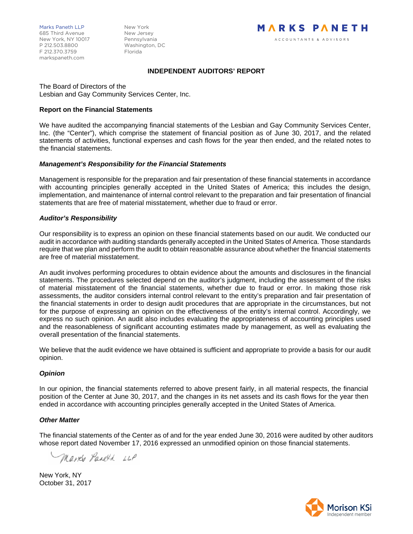#### **INDEPENDENT AUDITORS' REPORT**

The Board of Directors of the Lesbian and Gay Community Services Center, Inc.

#### **Report on the Financial Statements**

We have audited the accompanying financial statements of the Lesbian and Gay Community Services Center, Inc. (the "Center"), which comprise the statement of financial position as of June 30, 2017, and the related statements of activities, functional expenses and cash flows for the year then ended, and the related notes to the financial statements.

#### *Management's Responsibility for the Financial Statements*

Management is responsible for the preparation and fair presentation of these financial statements in accordance with accounting principles generally accepted in the United States of America; this includes the design, implementation, and maintenance of internal control relevant to the preparation and fair presentation of financial statements that are free of material misstatement, whether due to fraud or error.

#### *Auditor's Responsibility*

Our responsibility is to express an opinion on these financial statements based on our audit. We conducted our audit in accordance with auditing standards generally accepted in the United States of America. Those standards require that we plan and perform the audit to obtain reasonable assurance about whether the financial statements are free of material misstatement.

An audit involves performing procedures to obtain evidence about the amounts and disclosures in the financial statements. The procedures selected depend on the auditor's judgment, including the assessment of the risks of material misstatement of the financial statements, whether due to fraud or error. In making those risk assessments, the auditor considers internal control relevant to the entity's preparation and fair presentation of the financial statements in order to design audit procedures that are appropriate in the circumstances, but not for the purpose of expressing an opinion on the effectiveness of the entity's internal control. Accordingly, we express no such opinion. An audit also includes evaluating the appropriateness of accounting principles used and the reasonableness of significant accounting estimates made by management, as well as evaluating the overall presentation of the financial statements.

We believe that the audit evidence we have obtained is sufficient and appropriate to provide a basis for our audit opinion.

### *Opinion*

In our opinion, the financial statements referred to above present fairly, in all material respects, the financial position of the Center at June 30, 2017, and the changes in its net assets and its cash flows for the year then ended in accordance with accounting principles generally accepted in the United States of America.

#### *Other Matter*

The financial statements of the Center as of and for the year ended June 30, 2016 were audited by other auditors whose report dated November 17, 2016 expressed an unmodified opinion on those financial statements.

Marke Paneth LLP

New York, NY October 31, 2017

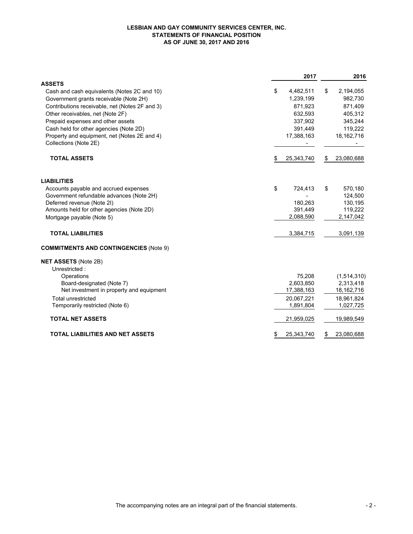#### **LESBIAN AND GAY COMMUNITY SERVICES CENTER, INC. STATEMENTS OF FINANCIAL POSITION AS OF JUNE 30, 2017 AND 2016**

|                                                                       | 2017                 |    | 2016                 |
|-----------------------------------------------------------------------|----------------------|----|----------------------|
| <b>ASSETS</b>                                                         |                      |    |                      |
| Cash and cash equivalents (Notes 2C and 10)                           | \$<br>4,482,511      | \$ | 2,194,055            |
| Government grants receivable (Note 2H)                                | 1,239,199            |    | 982,730              |
| Contributions receivable, net (Notes 2F and 3)                        | 871,923              |    | 871,409              |
| Other receivables, net (Note 2F)                                      | 632,593              |    | 405,312              |
| Prepaid expenses and other assets                                     | 337,902              |    | 345,244              |
| Cash held for other agencies (Note 2D)                                | 391,449              |    | 119,222              |
| Property and equipment, net (Notes 2E and 4)<br>Collections (Note 2E) | 17,388,163           |    | 18, 162, 716         |
| <b>TOTAL ASSETS</b>                                                   | \$<br>25,343,740     | \$ | 23,080,688           |
| <b>LIABILITIES</b>                                                    |                      |    |                      |
| Accounts payable and accrued expenses                                 | \$<br>724,413        | \$ | 570,180              |
| Government refundable advances (Note 2H)                              |                      |    | 124,500              |
| Deferred revenue (Note 2I)                                            | 180,263              |    | 130,195              |
| Amounts held for other agencies (Note 2D)                             | 391,449<br>2,088,590 |    | 119,222<br>2,147,042 |
| Mortgage payable (Note 5)                                             |                      |    |                      |
| <b>TOTAL LIABILITIES</b>                                              | 3,384,715            |    | 3,091,139            |
| <b>COMMITMENTS AND CONTINGENCIES (Note 9)</b>                         |                      |    |                      |
| <b>NET ASSETS (Note 2B)</b>                                           |                      |    |                      |
| Unrestricted:                                                         |                      |    |                      |
| Operations                                                            | 75,208               |    | (1,514,310)          |
| Board-designated (Note 7)                                             | 2,603,850            |    | 2,313,418            |
| Net investment in property and equipment                              | 17,388,163           |    | 18, 162, 716         |
| <b>Total unrestricted</b>                                             | 20,067,221           |    | 18,961,824           |
| Temporarily restricted (Note 6)                                       | 1,891,804            |    | 1,027,725            |
| <b>TOTAL NET ASSETS</b>                                               | 21,959,025           |    | 19,989,549           |
| <b>TOTAL LIABILITIES AND NET ASSETS</b>                               | 25,343,740           | S  | 23,080,688           |
|                                                                       |                      |    |                      |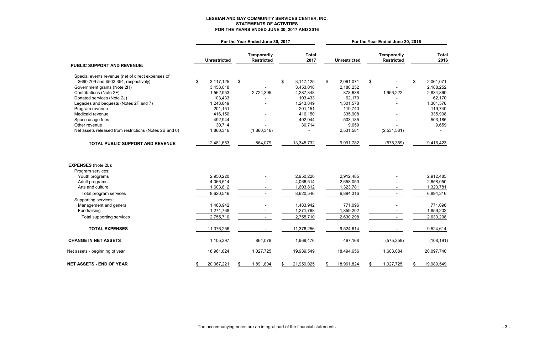# **LESBIAN AND GAY COMMUNITY SERVICES CENTER, INC. STATEMENTS OF ACTIVITIES FOR THE YEARS ENDED JUNE 30, 2017 AND 2016**

|                                                        | For the Year Ended June 30, 2017 |    |                                         |                |                      | For the Year Ended June 30, 2016 |                     |    |                                         |                |                      |
|--------------------------------------------------------|----------------------------------|----|-----------------------------------------|----------------|----------------------|----------------------------------|---------------------|----|-----------------------------------------|----------------|----------------------|
|                                                        | <b>Unrestricted</b>              |    | <b>Temporarily</b><br><b>Restricted</b> |                | <b>Total</b><br>2017 |                                  | <b>Unrestricted</b> |    | <b>Temporarily</b><br><b>Restricted</b> |                | <b>Total</b><br>2016 |
| <b>PUBLIC SUPPORT AND REVENUE:</b>                     |                                  |    |                                         |                |                      |                                  |                     |    |                                         |                |                      |
| Special events revenue (net of direct expenses of      |                                  |    |                                         |                |                      |                                  |                     |    |                                         |                |                      |
| \$690,709 and \$503,354, respectively)                 | \$<br>3,117,125                  | \$ |                                         | $\mathfrak{F}$ | 3,117,125            | $\mathbb{S}$                     | 2,061,071           | \$ |                                         | $\mathfrak{F}$ | 2,061,071            |
| Government grants (Note 2H)                            | 3,453,018                        |    |                                         |                | 3,453,018            |                                  | 2,188,252           |    |                                         |                | 2,188,252            |
| Contributions (Note 2F)                                | 1,562,953                        |    | 2,724,395                               |                | 4,287,348            |                                  | 878,638             |    | 1,956,222                               |                | 2,834,860            |
| Donated services (Note 2J)                             | 103,433                          |    |                                         |                | 103,433              |                                  | 62,170              |    |                                         |                | 62,170               |
| Legacies and bequests (Notes 2F and 7)                 | 1,243,849                        |    |                                         |                | 1,243,849            |                                  | 1,301,578           |    |                                         |                | 1,301,578            |
| Program revenue                                        | 201,151                          |    |                                         |                | 201,151              |                                  | 119,740             |    |                                         |                | 119,740              |
| Medicaid revenue                                       | 416,150                          |    |                                         |                | 416,150              |                                  | 335,908             |    |                                         |                | 335,908              |
| Space usage fees                                       | 492,944                          |    |                                         |                | 492,944              |                                  | 503,185             |    |                                         |                | 503,185              |
| Other revenue                                          | 30,714                           |    |                                         |                | 30,714               |                                  | 9,659               |    |                                         |                | 9,659                |
| Net assets released from restrictions (Notes 2B and 6) | 1,860,316                        |    | (1,860,316)                             |                |                      |                                  | 2,531,581           |    | (2,531,581)                             |                |                      |
| TOTAL PUBLIC SUPPORT AND REVENUE                       | 12,481,653                       |    | 864,079                                 |                | 13,345,732           |                                  | 9,991,782           |    | (575, 359)                              |                | 9,416,423            |
| <b>EXPENSES (Note 2L):</b><br>Program services:        |                                  |    |                                         |                |                      |                                  |                     |    |                                         |                |                      |
| Youth programs                                         | 2,950,220                        |    |                                         |                | 2,950,220            |                                  | 2,912,485           |    |                                         |                | 2,912,485            |
| Adult programs                                         | 4,066,514                        |    |                                         |                | 4,066,514            |                                  | 2,658,050           |    |                                         |                | 2,658,050            |
| Arts and culture                                       | 1,603,812                        |    |                                         |                | 1,603,812            |                                  | 1,323,781           |    |                                         |                | 1,323,781            |
| Total program services                                 | 8,620,546                        |    |                                         |                | 8,620,546            |                                  | 6,894,316           |    |                                         |                | 6,894,316            |
| Supporting services:                                   |                                  |    |                                         |                |                      |                                  |                     |    |                                         |                |                      |
| Management and general                                 | 1,483,942                        |    |                                         |                | 1,483,942            |                                  | 771,096             |    |                                         |                | 771,096              |
| Fundraising                                            | 1,271,768                        |    |                                         |                | 1,271,768            |                                  | 1,859,202           |    |                                         |                | 1,859,202            |
| Total supporting services                              | 2,755,710                        |    |                                         |                | 2,755,710            |                                  | 2,630,298           |    |                                         |                | 2,630,298            |
| <b>TOTAL EXPENSES</b>                                  | 11,376,256                       |    |                                         |                | 11,376,256           |                                  | 9,524,614           |    |                                         |                | 9,524,614            |
| <b>CHANGE IN NET ASSETS</b>                            | 1,105,397                        |    | 864,079                                 |                | 1,969,476            |                                  | 467,168             |    | (575, 359)                              |                | (108, 191)           |
| Net assets - beginning of year                         | 18,961,824                       |    | 1,027,725                               |                | 19,989,549           |                                  | 18,494,656          |    | 1,603,084                               |                | 20,097,740           |
| <b>NET ASSETS - END OF YEAR</b>                        | 20,067,221                       | \$ | 1,891,804                               | \$             | 21,959,025           | \$.                              | 18,961,824          | \$ | 1,027,725                               | \$             | 19,989,549           |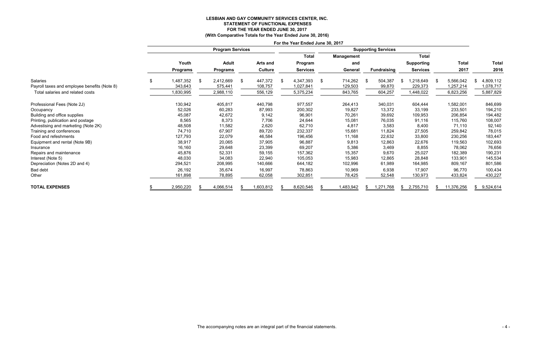# **LESBIAN AND GAY COMMUNITY SERVICES CENTER, INC. STATEMENT OF FUNCTIONAL EXPENSES FOR THE YEAR ENDED JUNE 30, 2017**

**(With Comparative Totals for the Year Ended June 30, 2016)**

|                                              | For the Year Ended June 30, 2017 |                 |    |                         |     |                |    |                 |     |                   |    |                            |    |                   |      |              |                  |
|----------------------------------------------|----------------------------------|-----------------|----|-------------------------|-----|----------------|----|-----------------|-----|-------------------|----|----------------------------|----|-------------------|------|--------------|------------------|
|                                              |                                  |                 |    | <b>Program Services</b> |     |                |    |                 |     |                   |    | <b>Supporting Services</b> |    |                   |      |              |                  |
|                                              |                                  |                 |    |                         |     |                |    | <b>Total</b>    |     | <b>Management</b> |    |                            |    | <b>Total</b>      |      |              |                  |
|                                              |                                  | Youth           |    | <b>Adult</b>            |     | Arts and       |    | Program         |     | and               |    |                            |    | <b>Supporting</b> |      | <b>Total</b> | <b>Total</b>     |
|                                              |                                  | <b>Programs</b> |    | <b>Programs</b>         |     | <b>Culture</b> |    | <b>Services</b> |     | General           |    | <b>Fundraising</b>         |    | <b>Services</b>   |      | 2017         | 2016             |
| Salaries                                     | \$                               | 1,487,352       | \$ | 2,412,669               | -\$ | 447,372        | \$ | 4,347,393       | -\$ | 714,262           | \$ | 504,387                    | £. | ,218,649          | - \$ | 5,566,042    | 4,809,112<br>\$. |
| Payroll taxes and employee benefits (Note 8) |                                  | 343,643         |    | 575,441                 |     | 108,757        |    | 1,027,841       |     | 129,503           |    | 99,870                     |    | 229,373           |      | 1,257,214    | 1,078,717        |
| Total salaries and related costs             |                                  | 1,830,995       |    | 2,988,110               |     | 556,129        |    | 5,375,234       |     | 843,765           |    | 604,257                    |    | 1,448,022         |      | 6,823,256    | 5,887,829        |
| Professional Fees (Note 2J)                  |                                  | 130,942         |    | 405,817                 |     | 440,798        |    | 977,557         |     | 264,413           |    | 340,031                    |    | 604,444           |      | 1,582,001    | 846,699          |
| Occupancy                                    |                                  | 52,026          |    | 60,283                  |     | 87,993         |    | 200,302         |     | 19,827            |    | 13,372                     |    | 33,199            |      | 233,501      | 194,210          |
| Building and office supplies                 |                                  | 45,087          |    | 42,672                  |     | 9,142          |    | 96,901          |     | 70,261            |    | 39,692                     |    | 109,953           |      | 206,854      | 194,482          |
| Printing, publication and postage            |                                  | 8,565           |    | 8,373                   |     | 7,706          |    | 24,644          |     | 15,081            |    | 76,035                     |    | 91,116            |      | 115,760      | 108,007          |
| Advestising and marketing (Note 2K)          |                                  | 48,508          |    | 11,582                  |     | 2,620          |    | 62,710          |     | 4,817             |    | 3,583                      |    | 8,400             |      | 71,110       | 92,140           |
| Training and conferences                     |                                  | 74,710          |    | 67,907                  |     | 89,720         |    | 232,337         |     | 15,681            |    | 11,824                     |    | 27,505            |      | 259,842      | 78,015           |
| Food and refeshments                         |                                  | 127,793         |    | 22,079                  |     | 46,584         |    | 196,456         |     | 11,168            |    | 22,632                     |    | 33,800            |      | 230,256      | 183,447          |
| Equipment and rental (Note 9B)               |                                  | 38,917          |    | 20,065                  |     | 37,905         |    | 96,887          |     | 9,813             |    | 12,863                     |    | 22,676            |      | 119,563      | 102,693          |
| Insurance                                    |                                  | 16,160          |    | 29,648                  |     | 23,399         |    | 69,207          |     | 5,386             |    | 3,469                      |    | 8,855             |      | 78,062       | 76,656           |
| Repairs and maintenance                      |                                  | 45,876          |    | 52,331                  |     | 59,155         |    | 157,362         |     | 15,357            |    | 9,670                      |    | 25,027            |      | 182,389      | 190,231          |
| Interest (Note 5)                            |                                  | 48,030          |    | 34,083                  |     | 22,940         |    | 105,053         |     | 15,983            |    | 12,865                     |    | 28,848            |      | 133,901      | 145,534          |
| Depreciation (Notes 2D and 4)                |                                  | 294,521         |    | 208,995                 |     | 140,666        |    | 644,182         |     | 102,996           |    | 61,989                     |    | 164,985           |      | 809,167      | 801,586          |
| Bad debt                                     |                                  | 26,192          |    | 35,674                  |     | 16,997         |    | 78,863          |     | 10,969            |    | 6,938                      |    | 17,907            |      | 96,770       | 100,434          |
| Other                                        |                                  | 161,898         |    | 78,895                  |     | 62,058         |    | 302,851         |     | 78,425            |    | 52,548                     |    | 130,973           |      | 433,824      | 430,227          |
| <b>TOTAL EXPENSES</b>                        |                                  | 2,950,220       |    | 4,066,514               |     | 1,603,812      |    | 8,620,546       | -8  | 1,483,942         | S. | 1,271,768                  | S. | 2,755,710         |      | 11,376,256   | 9,524,614<br>S.  |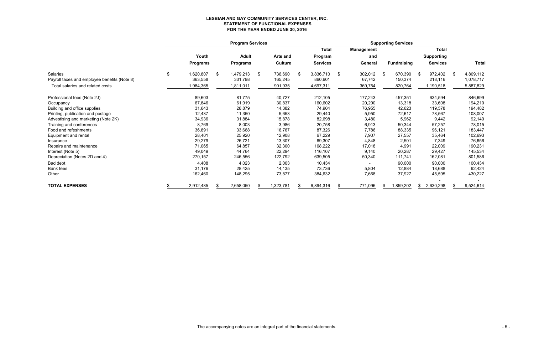# **LESBIAN AND GAY COMMUNITY SERVICES CENTER, INC. STATEMENT OF FUNCTIONAL EXPENSES FOR THE YEAR ENDED JUNE 30, 2016**

|                                              | <b>Program Services</b> |                 |    |                 |    |                 |    |                 | <b>Supporting Services</b> |                   |    |                    |     |                   |    |              |
|----------------------------------------------|-------------------------|-----------------|----|-----------------|----|-----------------|----|-----------------|----------------------------|-------------------|----|--------------------|-----|-------------------|----|--------------|
|                                              |                         |                 |    |                 |    |                 |    | <b>Total</b>    |                            | <b>Management</b> |    |                    |     | <b>Total</b>      |    |              |
|                                              |                         | Youth           |    | <b>Adult</b>    |    | <b>Arts and</b> |    | Program         |                            | and               |    |                    |     | <b>Supporting</b> |    |              |
|                                              |                         | <b>Programs</b> |    | <b>Programs</b> |    | <b>Culture</b>  |    | <b>Services</b> |                            | General           |    | <b>Fundraising</b> |     | <b>Services</b>   |    | <b>Total</b> |
| <b>Salaries</b>                              |                         | 1,620,807       | \$ | 1,479,213       | \$ | 736,690         | \$ | 3,836,710       | \$                         | 302,012           | \$ | 670,390            | \$  | 972,402           | \$ | 4,809,112    |
| Payroll taxes and employee benefits (Note 8) |                         | 363,558         |    | 331,798         |    | 165,245         |    | 860,601         |                            | 67,742            |    | 150,374            |     | 218,116           |    | 1,078,717    |
| Total salaries and related costs             |                         | 1,984,365       |    | 1,811,011       |    | 901,935         |    | 4,697,311       |                            | 369,754           |    | 820,764            |     | 1,190,518         |    | 5,887,829    |
| Professional fees (Note 2J)                  |                         | 89,603          |    | 81,775          |    | 40,727          |    | 212,105         |                            | 177,243           |    | 457,351            |     | 634,594           |    | 846,699      |
| Occupancy                                    |                         | 67,846          |    | 61,919          |    | 30,837          |    | 160,602         |                            | 20,290            |    | 13,318             |     | 33,608            |    | 194,210      |
| Building and office supplies                 |                         | 31,643          |    | 28,879          |    | 14,382          |    | 74,904          |                            | 76,955            |    | 42,623             |     | 119,578           |    | 194,482      |
| Printing, publication and postage            |                         | 12,437          |    | 11,350          |    | 5,653           |    | 29,440          |                            | 5,950             |    | 72,617             |     | 78,567            |    | 108,007      |
| Advestising and marketing (Note 2K)          |                         | 34,936          |    | 31,884          |    | 15,878          |    | 82,698          |                            | 3,480             |    | 5,962              |     | 9,442             |    | 92,140       |
| Training and conferences                     |                         | 8,769           |    | 8,003           |    | 3,986           |    | 20,758          |                            | 6,913             |    | 50,344             |     | 57,257            |    | 78,015       |
| Food and refeshments                         |                         | 36,891          |    | 33,668          |    | 16,767          |    | 87,326          |                            | 7,786             |    | 88,335             |     | 96,121            |    | 183,447      |
| Equipment and rental                         |                         | 28,401          |    | 25,920          |    | 12,908          |    | 67,229          |                            | 7,907             |    | 27,557             |     | 35,464            |    | 102,693      |
| Insurance                                    |                         | 29,279          |    | 26,721          |    | 13,307          |    | 69,307          |                            | 4,848             |    | 2,501              |     | 7,349             |    | 76,656       |
| Repairs and maintenance                      |                         | 71,065          |    | 64,857          |    | 32,300          |    | 168,222         |                            | 17,018            |    | 4,991              |     | 22,009            |    | 190,231      |
| Interest (Note 5)                            |                         | 49,049          |    | 44,764          |    | 22,294          |    | 116,107         |                            | 9,140             |    | 20,287             |     | 29,427            |    | 145,534      |
| Depreciation (Notes 2D and 4)                |                         | 270,157         |    | 246,556         |    | 122,792         |    | 639,505         |                            | 50,340            |    | 111,741            |     | 162,081           |    | 801,586      |
| Bad debt                                     |                         | 4,408           |    | 4,023           |    | 2,003           |    | 10,434          |                            |                   |    | 90,000             |     | 90,000            |    | 100,434      |
| <b>Bank fees</b>                             |                         | 31,176          |    | 28,425          |    | 14,135          |    | 73,736          |                            | 5,804             |    | 12,884             |     | 18,688            |    | 92,424       |
| Other                                        |                         | 162,460         |    | 148,295         |    | 73,877          |    | 384,632         |                            | 7,668             |    | 37,927             |     | 45,595            |    | 430,227      |
| <b>TOTAL EXPENSES</b>                        |                         | 2,912,485       |    | 2,658,050       |    | ,323,781        |    | 6,894,316       |                            | 771,096           |    | 1,859,202          | - 5 | 2,630,298         |    | 9,524,614    |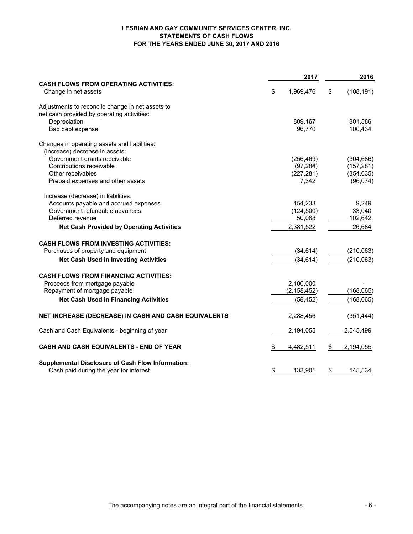#### **LESBIAN AND GAY COMMUNITY SERVICES CENTER, INC. STATEMENTS OF CASH FLOWS FOR THE YEARS ENDED JUNE 30, 2017 AND 2016**

|                                                                      |    | 2017          | 2016 |            |  |
|----------------------------------------------------------------------|----|---------------|------|------------|--|
| <b>CASH FLOWS FROM OPERATING ACTIVITIES:</b><br>Change in net assets | \$ | 1,969,476     | \$   | (108, 191) |  |
| Adjustments to reconcile change in net assets to                     |    |               |      |            |  |
| net cash provided by operating activities:                           |    |               |      |            |  |
| Depreciation                                                         |    | 809,167       |      | 801,586    |  |
| Bad debt expense                                                     |    | 96,770        |      | 100,434    |  |
| Changes in operating assets and liabilities:                         |    |               |      |            |  |
| (Increase) decrease in assets:                                       |    |               |      |            |  |
| Government grants receivable                                         |    | (256, 469)    |      | (304, 686) |  |
| Contributions receivable                                             |    | (97, 284)     |      | (157, 281) |  |
| Other receivables                                                    |    | (227, 281)    |      | (354, 035) |  |
| Prepaid expenses and other assets                                    |    | 7,342         |      | (96,074)   |  |
| Increase (decrease) in liabilities:                                  |    |               |      |            |  |
| Accounts payable and accrued expenses                                |    | 154,233       |      | 9,249      |  |
| Government refundable advances                                       |    | (124, 500)    |      | 33,040     |  |
| Deferred revenue                                                     |    | 50,068        |      | 102,642    |  |
| <b>Net Cash Provided by Operating Activities</b>                     |    | 2,381,522     |      | 26,684     |  |
| <b>CASH FLOWS FROM INVESTING ACTIVITIES:</b>                         |    |               |      |            |  |
| Purchases of property and equipment                                  |    | (34, 614)     |      | (210, 063) |  |
| <b>Net Cash Used in Investing Activities</b>                         |    | (34, 614)     |      | (210,063)  |  |
| <b>CASH FLOWS FROM FINANCING ACTIVITIES:</b>                         |    |               |      |            |  |
| Proceeds from mortgage payable                                       |    | 2,100,000     |      |            |  |
| Repayment of mortgage payable                                        |    | (2, 158, 452) |      | (168, 065) |  |
| <b>Net Cash Used in Financing Activities</b>                         |    | (58, 452)     |      | (168, 065) |  |
|                                                                      |    |               |      |            |  |
| NET INCREASE (DECREASE) IN CASH AND CASH EQUIVALENTS                 |    | 2,288,456     |      | (351, 444) |  |
| Cash and Cash Equivalents - beginning of year                        |    | 2,194,055     |      | 2,545,499  |  |
| CASH AND CASH EQUIVALENTS - END OF YEAR                              | \$ | 4,482,511     | \$   | 2,194,055  |  |
| Supplemental Disclosure of Cash Flow Information:                    |    |               |      |            |  |
| Cash paid during the year for interest                               | \$ | 133,901       | \$   | 145,534    |  |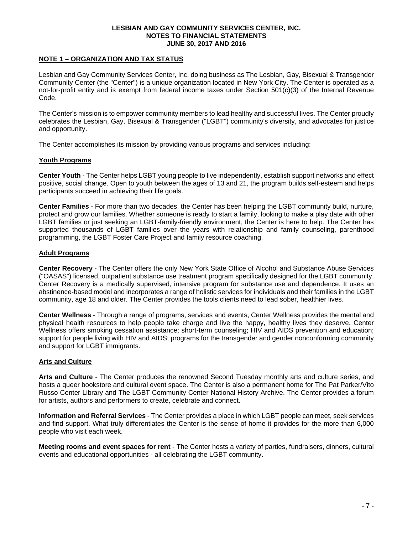#### **NOTE 1 – ORGANIZATION AND TAX STATUS**

Lesbian and Gay Community Services Center, Inc. doing business as The Lesbian, Gay, Bisexual & Transgender Community Center (the "Center") is a unique organization located in New York City. The Center is operated as a not-for-profit entity and is exempt from federal income taxes under Section 501(c)(3) of the Internal Revenue Code.

The Center's mission is to empower community members to lead healthy and successful lives. The Center proudly celebrates the Lesbian, Gay, Bisexual & Transgender ("LGBT") community's diversity, and advocates for justice and opportunity.

The Center accomplishes its mission by providing various programs and services including:

#### **Youth Programs**

**Center Youth** - The Center helps LGBT young people to live independently, establish support networks and effect positive, social change. Open to youth between the ages of 13 and 21, the program builds self-esteem and helps participants succeed in achieving their life goals.

**Center Families** - For more than two decades, the Center has been helping the LGBT community build, nurture, protect and grow our families. Whether someone is ready to start a family, looking to make a play date with other LGBT families or just seeking an LGBT-family-friendly environment, the Center is here to help. The Center has supported thousands of LGBT families over the years with relationship and family counseling, parenthood programming, the LGBT Foster Care Project and family resource coaching.

#### **Adult Programs**

**Center Recovery** - The Center offers the only New York State Office of Alcohol and Substance Abuse Services ("OASAS") licensed, outpatient substance use treatment program specifically designed for the LGBT community. Center Recovery is a medically supervised, intensive program for substance use and dependence. It uses an abstinence-based model and incorporates a range of holistic services for individuals and their families in the LGBT community, age 18 and older. The Center provides the tools clients need to lead sober, healthier lives.

**Center Wellness** - Through a range of programs, services and events, Center Wellness provides the mental and physical health resources to help people take charge and live the happy, healthy lives they deserve. Center Wellness offers smoking cessation assistance; short-term counseling; HIV and AIDS prevention and education; support for people living with HIV and AIDS; programs for the transgender and gender nonconforming community and support for LGBT immigrants.

### **Arts and Culture**

**Arts and Culture** - The Center produces the renowned Second Tuesday monthly arts and culture series, and hosts a queer bookstore and cultural event space. The Center is also a permanent home for The Pat Parker/Vito Russo Center Library and The LGBT Community Center National History Archive. The Center provides a forum for artists, authors and performers to create, celebrate and connect.

**Information and Referral Services** - The Center provides a place in which LGBT people can meet, seek services and find support. What truly differentiates the Center is the sense of home it provides for the more than 6,000 people who visit each week.

**Meeting rooms and event spaces for rent** - The Center hosts a variety of parties, fundraisers, dinners, cultural events and educational opportunities - all celebrating the LGBT community.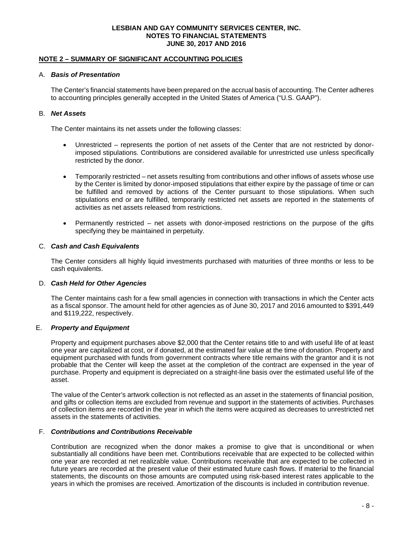#### **NOTE 2 – SUMMARY OF SIGNIFICANT ACCOUNTING POLICIES**

#### A. *Basis of Presentation*

The Center's financial statements have been prepared on the accrual basis of accounting. The Center adheres to accounting principles generally accepted in the United States of America ("U.S. GAAP").

#### B. *Net Assets*

The Center maintains its net assets under the following classes:

- Unrestricted represents the portion of net assets of the Center that are not restricted by donorimposed stipulations. Contributions are considered available for unrestricted use unless specifically restricted by the donor.
- Temporarily restricted net assets resulting from contributions and other inflows of assets whose use by the Center is limited by donor-imposed stipulations that either expire by the passage of time or can be fulfilled and removed by actions of the Center pursuant to those stipulations. When such stipulations end or are fulfilled, temporarily restricted net assets are reported in the statements of activities as net assets released from restrictions.
- Permanently restricted net assets with donor-imposed restrictions on the purpose of the gifts specifying they be maintained in perpetuity.

#### C. *Cash and Cash Equivalents*

The Center considers all highly liquid investments purchased with maturities of three months or less to be cash equivalents.

#### D. *Cash Held for Other Agencies*

The Center maintains cash for a few small agencies in connection with transactions in which the Center acts as a fiscal sponsor. The amount held for other agencies as of June 30, 2017 and 2016 amounted to \$391,449 and \$119,222, respectively.

#### E. *Property and Equipment*

Property and equipment purchases above \$2,000 that the Center retains title to and with useful life of at least one year are capitalized at cost, or if donated, at the estimated fair value at the time of donation. Property and equipment purchased with funds from government contracts where title remains with the grantor and it is not probable that the Center will keep the asset at the completion of the contract are expensed in the year of purchase. Property and equipment is depreciated on a straight-line basis over the estimated useful life of the asset.

The value of the Center's artwork collection is not reflected as an asset in the statements of financial position, and gifts or collection items are excluded from revenue and support in the statements of activities. Purchases of collection items are recorded in the year in which the items were acquired as decreases to unrestricted net assets in the statements of activities.

#### F. *Contributions and Contributions Receivable*

Contribution are recognized when the donor makes a promise to give that is unconditional or when substantially all conditions have been met. Contributions receivable that are expected to be collected within one year are recorded at net realizable value. Contributions receivable that are expected to be collected in future years are recorded at the present value of their estimated future cash flows. If material to the financial statements, the discounts on those amounts are computed using risk-based interest rates applicable to the years in which the promises are received. Amortization of the discounts is included in contribution revenue.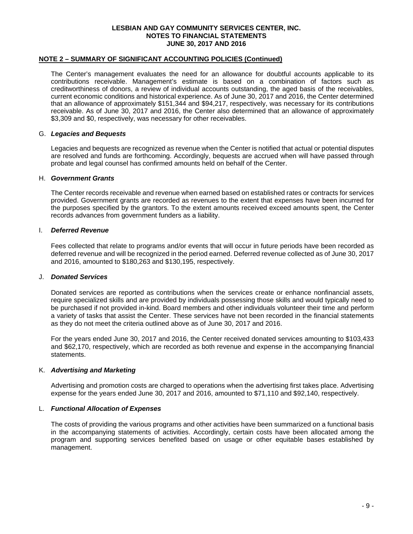#### **NOTE 2 – SUMMARY OF SIGNIFICANT ACCOUNTING POLICIES (Continued)**

The Center's management evaluates the need for an allowance for doubtful accounts applicable to its contributions receivable. Management's estimate is based on a combination of factors such as creditworthiness of donors, a review of individual accounts outstanding, the aged basis of the receivables, current economic conditions and historical experience. As of June 30, 2017 and 2016, the Center determined that an allowance of approximately \$151,344 and \$94,217, respectively, was necessary for its contributions receivable. As of June 30, 2017 and 2016, the Center also determined that an allowance of approximately \$3,309 and \$0, respectively, was necessary for other receivables.

#### G. *Legacies and Bequests*

Legacies and bequests are recognized as revenue when the Center is notified that actual or potential disputes are resolved and funds are forthcoming. Accordingly, bequests are accrued when will have passed through probate and legal counsel has confirmed amounts held on behalf of the Center.

#### H. *Government Grants*

The Center records receivable and revenue when earned based on established rates or contracts for services provided. Government grants are recorded as revenues to the extent that expenses have been incurred for the purposes specified by the grantors. To the extent amounts received exceed amounts spent, the Center records advances from government funders as a liability.

#### I. *Deferred Revenue*

Fees collected that relate to programs and/or events that will occur in future periods have been recorded as deferred revenue and will be recognized in the period earned. Deferred revenue collected as of June 30, 2017 and 2016, amounted to \$180,263 and \$130,195, respectively.

#### J. *Donated Services*

Donated services are reported as contributions when the services create or enhance nonfinancial assets, require specialized skills and are provided by individuals possessing those skills and would typically need to be purchased if not provided in-kind. Board members and other individuals volunteer their time and perform a variety of tasks that assist the Center. These services have not been recorded in the financial statements as they do not meet the criteria outlined above as of June 30, 2017 and 2016.

For the years ended June 30, 2017 and 2016, the Center received donated services amounting to \$103,433 and \$62,170, respectively, which are recorded as both revenue and expense in the accompanying financial statements.

### K. *Advertising and Marketing*

Advertising and promotion costs are charged to operations when the advertising first takes place. Advertising expense for the years ended June 30, 2017 and 2016, amounted to \$71,110 and \$92,140, respectively.

#### L. *Functional Allocation of Expenses*

The costs of providing the various programs and other activities have been summarized on a functional basis in the accompanying statements of activities. Accordingly, certain costs have been allocated among the program and supporting services benefited based on usage or other equitable bases established by management.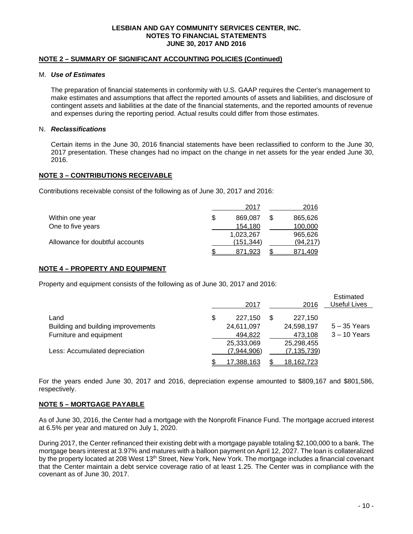#### **NOTE 2 – SUMMARY OF SIGNIFICANT ACCOUNTING POLICIES (Continued)**

#### M. *Use of Estimates*

The preparation of financial statements in conformity with U.S. GAAP requires the Center's management to make estimates and assumptions that affect the reported amounts of assets and liabilities, and disclosure of contingent assets and liabilities at the date of the financial statements, and the reported amounts of revenue and expenses during the reporting period. Actual results could differ from those estimates.

#### N. *Reclassifications*

Certain items in the June 30, 2016 financial statements have been reclassified to conform to the June 30, 2017 presentation. These changes had no impact on the change in net assets for the year ended June 30, 2016.

#### **NOTE 3 – CONTRIBUTIONS RECEIVABLE**

Contributions receivable consist of the following as of June 30, 2017 and 2016:

|                                 |   | 2017      | 2016      |
|---------------------------------|---|-----------|-----------|
| Within one year                 | S | 869.087   | 865,626   |
| One to five years               |   | 154.180   | 100,000   |
|                                 |   | 1,023,267 | 965,626   |
| Allowance for doubtful accounts |   | (151.344) | (94, 217) |
|                                 |   | 871.923   | 871,409   |

#### **NOTE 4 – PROPERTY AND EQUIPMENT**

Property and equipment consists of the following as of June 30, 2017 and 2016:

|                                    | 2017                    |   | 2016              | Estimated<br>Useful Lives |
|------------------------------------|-------------------------|---|-------------------|---------------------------|
| Land                               | \$<br>227.150           | S | 227.150           |                           |
| Building and building improvements | 24,611,097              |   | 24,598,197        | $5 - 35$ Years            |
| Furniture and equipment            | 494,822                 |   | 473,108           | $3 - 10$ Years            |
|                                    | 25,333,069              |   | 25,298,455        |                           |
| Less: Accumulated depreciation     | (7,944,906)             |   | (7, 135, 739)     |                           |
|                                    | \$<br><u>17,388,163</u> |   | <u>18,162,723</u> |                           |

For the years ended June 30, 2017 and 2016, depreciation expense amounted to \$809,167 and \$801,586, respectively.

#### **NOTE 5 – MORTGAGE PAYABLE**

As of June 30, 2016, the Center had a mortgage with the Nonprofit Finance Fund. The mortgage accrued interest at 6.5% per year and matured on July 1, 2020.

During 2017, the Center refinanced their existing debt with a mortgage payable totaling \$2,100,000 to a bank. The mortgage bears interest at 3.97% and matures with a balloon payment on April 12, 2027. The loan is collateralized by the property located at 208 West 13<sup>th</sup> Street, New York, New York. The mortgage includes a financial covenant that the Center maintain a debt service coverage ratio of at least 1.25. The Center was in compliance with the covenant as of June 30, 2017.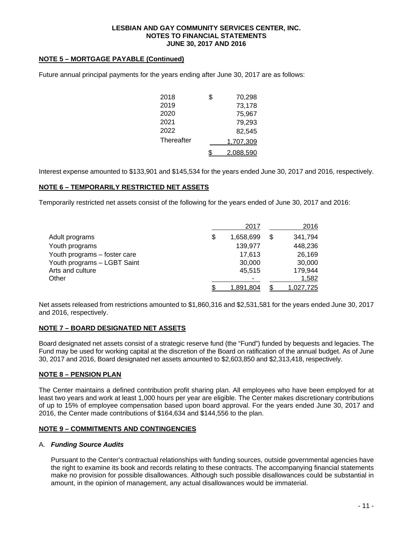## **NOTE 5 – MORTGAGE PAYABLE (Continued)**

| 2018       | \$<br>70,298 |
|------------|--------------|
| 2019       | 73,178       |
| 2020       | 75,967       |
| 2021       | 79,293       |
| 2022       | 82,545       |
| Thereafter | 1,707,309    |
|            | 2.088,590    |

Future annual principal payments for the years ending after June 30, 2017 are as follows:

Interest expense amounted to \$133,901 and \$145,534 for the years ended June 30, 2017 and 2016, respectively.

# **NOTE 6 – TEMPORARILY RESTRICTED NET ASSETS**

Temporarily restricted net assets consist of the following for the years ended of June 30, 2017 and 2016:

|                              | 2017            | 2016           |
|------------------------------|-----------------|----------------|
| Adult programs               | \$<br>1,658,699 | \$<br>341,794  |
| Youth programs               | 139,977         | 448,236        |
| Youth programs - foster care | 17.613          | 26,169         |
| Youth programs - LGBT Saint  | 30,000          | 30,000         |
| Arts and culture             | 45.515          | 179,944        |
| Other                        |                 | 1,582          |
|                              | 1,891,804       | <u>027,725</u> |

Net assets released from restrictions amounted to \$1,860,316 and \$2,531,581 for the years ended June 30, 2017 and 2016, respectively.

### **NOTE 7 – BOARD DESIGNATED NET ASSETS**

Board designated net assets consist of a strategic reserve fund (the "Fund") funded by bequests and legacies. The Fund may be used for working capital at the discretion of the Board on ratification of the annual budget. As of June 30, 2017 and 2016, Board designated net assets amounted to \$2,603,850 and \$2,313,418, respectively.

# **NOTE 8 – PENSION PLAN**

The Center maintains a defined contribution profit sharing plan. All employees who have been employed for at least two years and work at least 1,000 hours per year are eligible. The Center makes discretionary contributions of up to 15% of employee compensation based upon board approval. For the years ended June 30, 2017 and 2016, the Center made contributions of \$164,634 and \$144,556 to the plan.

### **NOTE 9 – COMMITMENTS AND CONTINGENCIES**

### A. *Funding Source Audits*

Pursuant to the Center's contractual relationships with funding sources, outside governmental agencies have the right to examine its book and records relating to these contracts. The accompanying financial statements make no provision for possible disallowances. Although such possible disallowances could be substantial in amount, in the opinion of management, any actual disallowances would be immaterial.